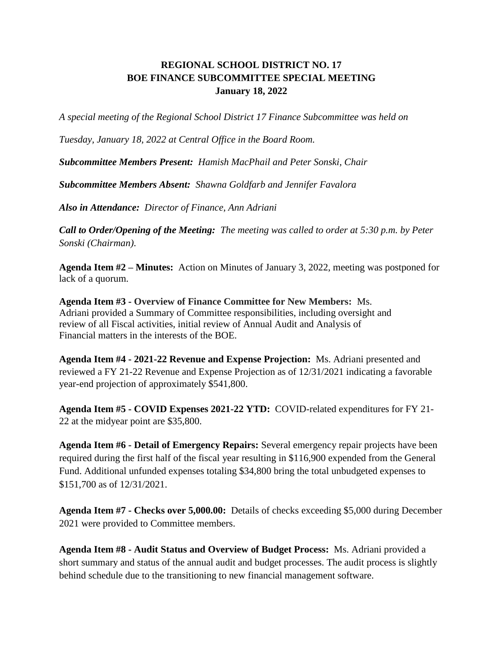## **REGIONAL SCHOOL DISTRICT NO. 17 BOE FINANCE SUBCOMMITTEE SPECIAL MEETING January 18, 2022**

*A special meeting of the Regional School District 17 Finance Subcommittee was held on* 

*Tuesday, January 18, 2022 at Central Office in the Board Room.*

*Subcommittee Members Present: Hamish MacPhail and Peter Sonski, Chair*

*Subcommittee Members Absent: Shawna Goldfarb and Jennifer Favalora*

*Also in Attendance: Director of Finance, Ann Adriani*

*Call to Order/Opening of the Meeting: The meeting was called to order at 5:30 p.m. by Peter Sonski (Chairman)*.

**Agenda Item #2 – Minutes:** Action on Minutes of January 3, 2022, meeting was postponed for lack of a quorum.

**Agenda Item #3 - Overview of Finance Committee for New Members:** Ms. Adriani provided a Summary of Committee responsibilities, including oversight and review of all Fiscal activities, initial review of Annual Audit and Analysis of Financial matters in the interests of the BOE.

**Agenda Item #4 - 2021-22 Revenue and Expense Projection:** Ms. Adriani presented and reviewed a FY 21-22 Revenue and Expense Projection as of 12/31/2021 indicating a favorable year-end projection of approximately \$541,800.

**Agenda Item #5 - COVID Expenses 2021-22 YTD:** COVID-related expenditures for FY 21- 22 at the midyear point are \$35,800.

**Agenda Item #6 - Detail of Emergency Repairs:** Several emergency repair projects have been required during the first half of the fiscal year resulting in \$116,900 expended from the General Fund. Additional unfunded expenses totaling \$34,800 bring the total unbudgeted expenses to \$151,700 as of 12/31/2021.

**Agenda Item #7 - Checks over 5,000.00:** Details of checks exceeding \$5,000 during December 2021 were provided to Committee members.

**Agenda Item #8 - Audit Status and Overview of Budget Process:** Ms. Adriani provided a short summary and status of the annual audit and budget processes. The audit process is slightly behind schedule due to the transitioning to new financial management software.